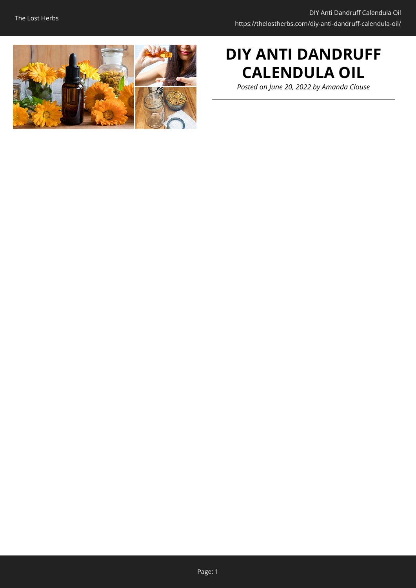

# **DIY ANTI DANDRUFF CALENDULA OIL**

*Posted on June 20, 2022 by Amanda Clouse*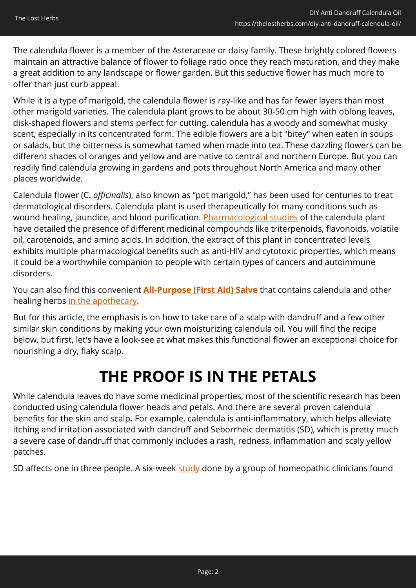The calendula flower is a member of the Asteraceae or daisy family. These brightly colored flowers maintain an attractive balance of flower to foliage ratio once they reach maturation, and they make a great addition to any landscape or flower garden. But this seductive flower has much more to offer than just curb appeal.

While it is a type of marigold, the calendula flower is ray-like and has far fewer layers than most other marigold varieties. The calendula plant grows to be about 30-50 cm high with oblong leaves, disk-shaped flowers and stems perfect for cutting. calendula has a woody and somewhat musky scent, especially in its concentrated form. The edible flowers are a bit "bitey" when eaten in soups or salads, but the bitterness is somewhat tamed when made into tea. These dazzling flowers can be different shades of oranges and yellow and are native to central and northern Europe. But you can readily find calendula growing in gardens and pots throughout North America and many other places worldwide.

Calendula flower (C. *officinalis*), also known as "pot marigold," has been used for centuries to treat dermatological disorders. Calendula plant is used therapeutically for many conditions such as wound healing, jaundice, and blood purification. [Pharmacological studies](https://www.ajol.info/index.php/tjpr/article/view/48090) of the calendula plant have detailed the presence of different medicinal compounds like triterpenoids, flavonoids, volatile oil, carotenoids, and amino acids. In addition, the extract of this plant in concentrated levels exhibits multiple pharmacological benefits such as anti-HIV and cytotoxic properties, which means it could be a worthwhile companion to people with certain types of cancers and autoimmune disorders.

You can also find this convenient **[All-Purpose \(First Aid\) Salve](https://nicolesapothecary.com/collections/all/products/all-purpose-salve?rfsn=5642246.05c3d29&utm_source=refersion&utm_medium=affiliate&utm_campaign=5642246.05c3d29&subid=C02CalendulaHairOilFAS)** that contains calendula and other healing herbs [in the apothecary.](https://nicolesapothecary.com/collections/all/products/all-purpose-salve?rfsn=5642246.05c3d29&utm_source=refersion&utm_medium=affiliate&utm_campaign=5642246.05c3d29&subid=C02CalendulaHairOilFAS)

But for this article, the emphasis is on how to take care of a scalp with dandruff and a few other similar skin conditions by making your own moisturizing calendula oil. You will find the recipe below, but first, let's have a look-see at what makes this functional flower an exceptional choice for nourishing a dry, flaky scalp.

# **THE PROOF IS IN THE PETALS**

While calendula leaves do have some medicinal properties, most of the scientific research has been conducted using calendula flower heads and petals. And there are several proven calendula benefits for the skin and scalp**.** For example, calendula is anti-inflammatory, which helps alleviate itching and irritation associated with dandruff and Seborrheic dermatitis (SD), which is pretty much a severe case of dandruff that commonly includes a rash, redness, inflammation and scaly yellow patches.

SD affects one in three people. A six-week [study](https://openscholar.dut.ac.za/handle/10321/2899) done by a group of homeopathic clinicians found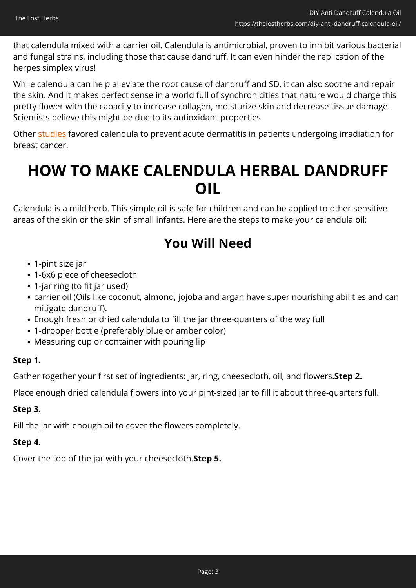that calendula mixed with a carrier oil. Calendula is antimicrobial, proven to inhibit various bacterial and fungal strains, including those that cause dandruff. It can even hinder the replication of the herpes simplex virus!

While calendula can help alleviate the root cause of dandruff and SD, it can also soothe and repair the skin. And it makes perfect sense in a world full of synchronicities that nature would charge this pretty flower with the capacity to increase collagen, moisturize skin and decrease tissue damage. Scientists believe this might be due to its antioxidant properties.

Other [studies](http://nlp.case.edu/public/data/TargetedToxicity_JCOFullText/SVM_text_classifier_training/training/positive/1_150.html) favored calendula to prevent acute dermatitis in patients undergoing irradiation for breast cancer.

# **HOW TO MAKE CALENDULA HERBAL DANDRUFF OIL**

Calendula is a mild herb. This simple oil is safe for children and can be applied to other sensitive areas of the skin or the skin of small infants. Here are the steps to make your calendula oil:

## **You Will Need**

- 1-pint size jar
- 1-6x6 piece of cheesecloth
- 1-jar ring (to fit jar used)
- carrier oil (Oils like coconut, almond, jojoba and argan have super nourishing abilities and can mitigate dandruff).
- Enough fresh or dried calendula to fill the jar three-quarters of the way full
- 1-dropper bottle (preferably blue or amber color)
- Measuring cup or container with pouring lip

## **Step 1.**

Gather together your first set of ingredients: Jar, ring, cheesecloth, oil, and flowers.**Step 2.**

Place enough dried calendula flowers into your pint-sized jar to fill it about three-quarters full.

## **Step 3.**

Fill the jar with enough oil to cover the flowers completely.

## **Step 4**.

Cover the top of the jar with your cheesecloth.**Step 5.**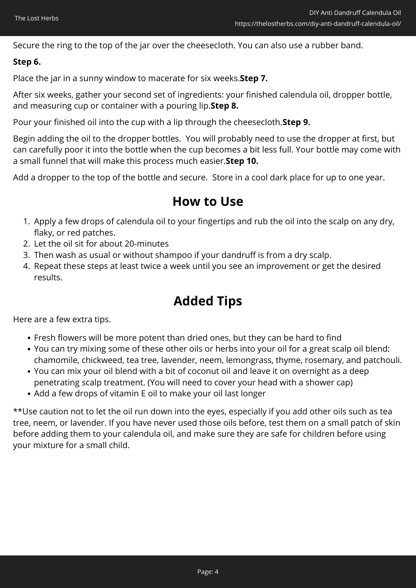Secure the ring to the top of the jar over the cheesecloth. You can also use a rubber band.

## **Step 6.**

Place the jar in a sunny window to macerate for six weeks.**Step 7.**

After six weeks, gather your second set of ingredients: your finished calendula oil, dropper bottle, and measuring cup or container with a pouring lip.**Step 8.**

Pour your finished oil into the cup with a lip through the cheesecloth.**Step 9.**

Begin adding the oil to the dropper bottles. You will probably need to use the dropper at first, but can carefully poor it into the bottle when the cup becomes a bit less full. Your bottle may come with a small funnel that will make this process much easier.**Step 10.**

Add a dropper to the top of the bottle and secure. Store in a cool dark place for up to one year.

## **How to Use**

- 1. Apply a few drops of calendula oil to your fingertips and rub the oil into the scalp on any dry, flaky, or red patches.
- 2. Let the oil sit for about 20-minutes
- 3. Then wash as usual or without shampoo if your dandruff is from a dry scalp.
- 4. Repeat these steps at least twice a week until you see an improvement or get the desired results.

## **Added Tips**

Here are a few extra tips.

- Fresh flowers will be more potent than dried ones, but they can be hard to find
- You can try mixing some of these other oils or herbs into your oil for a great scalp oil blend: chamomile, chickweed, tea tree, lavender, neem, lemongrass, thyme, rosemary, and patchouli.
- You can mix your oil blend with a bit of coconut oil and leave it on overnight as a deep penetrating scalp treatment. (You will need to cover your head with a shower cap)
- Add a few drops of vitamin E oil to make your oil last longer

\*\*Use caution not to let the oil run down into the eyes, especially if you add other oils such as tea tree, neem, or lavender. If you have never used those oils before, test them on a small patch of skin before adding them to your calendula oil, and make sure they are safe for children before using your mixture for a small child.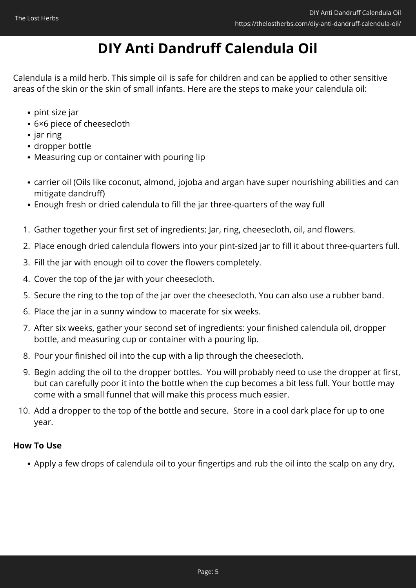# **DIY Anti Dandruff Calendula Oil**

Calendula is a mild herb. This simple oil is safe for children and can be applied to other sensitive areas of the skin or the skin of small infants. Here are the steps to make your calendula oil:

- pint size jar
- 6×6 piece of cheesecloth
- $\bullet$  jar ring
- dropper bottle
- Measuring cup or container with pouring lip
- carrier oil (Oils like coconut, almond, jojoba and argan have super nourishing abilities and can mitigate dandruff)
- Enough fresh or dried calendula to fill the jar three-quarters of the way full
- 1. Gather together your first set of ingredients: Jar, ring, cheesecloth, oil, and flowers.
- 2. Place enough dried calendula flowers into your pint-sized jar to fill it about three-quarters full.
- 3. Fill the jar with enough oil to cover the flowers completely.
- 4. Cover the top of the jar with your cheesecloth.
- 5. Secure the ring to the top of the jar over the cheesecloth. You can also use a rubber band.
- 6. Place the jar in a sunny window to macerate for six weeks.
- 7. After six weeks, gather your second set of ingredients: your finished calendula oil, dropper bottle, and measuring cup or container with a pouring lip.
- 8. Pour your finished oil into the cup with a lip through the cheesecloth.
- 9. Begin adding the oil to the dropper bottles. You will probably need to use the dropper at first, but can carefully poor it into the bottle when the cup becomes a bit less full. Your bottle may come with a small funnel that will make this process much easier.
- 10. Add a dropper to the top of the bottle and secure. Store in a cool dark place for up to one year.

## **How To Use**

Apply a few drops of calendula oil to your fingertips and rub the oil into the scalp on any dry,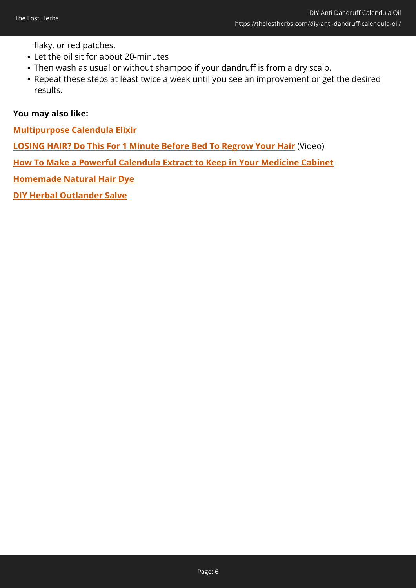flaky, or red patches.

- Let the oil sit for about 20-minutes
- Then wash as usual or without shampoo if your dandruff is from a dry scalp.
- Repeat these steps at least twice a week until you see an improvement or get the desired results.

### **You may also like:**

**[Multipurpose Calendula Elixir](https://thelostherbs.com/multipurpose-calendula-elixir/)**

**[LOSING HAIR? Do This For 1 Minute Before Bed To Regrow Your Hair](https://hop.clickbank.net/?affiliate=easycellar&vendor=foli4&cbpage=new&tid=C02CalendulaHairOilFFT)** (Video)

**[How To Make a Powerful Calendula Extract to Keep in Your Medicine Cabinet](https://thelostherbs.com/how-to-make-a-powerful-calendula-extract-to-keep-in-your-medicine-cabinet-with-pictures/)**

**[Homemade Natural Hair Dye](https://thelostherbs.com/homemade-natural-hair-dye/)**

**[DIY Herbal Outlander Salve](https://thelostherbs.com/diy-herbal-outlander-salve/)**